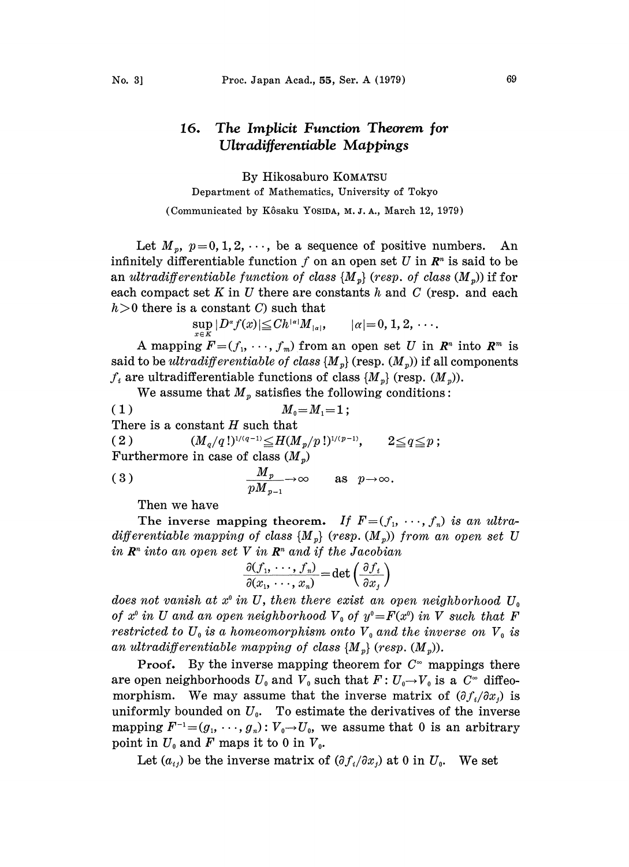## The Implicit Function Theorem jot 16. Ultradiferemiable Mappings

By Hikosaburo KOMATSU Department of Mathematics, University of Tokyo.

(Communicated by Kôsaku YOSIDA, M.J.A., March 12, 1979)

Let  $M_p$ ,  $p=0, 1, 2, \cdots$ , be a sequence of positive numbers. An infinitely differentiable function f on an open set U in  $\mathbb{R}^n$  is said to be an ultradifferentiable function of class  $\{M_{p}\}$  (resp. of class  $(M_{p})$ ) if for each compact set K in U there are constants h and C (resp. and each  $h>0$  there is a constant C) such that

 $\sup_{x \in K} |D^{\alpha} f(x)| \leq C h^{|\alpha|} M_{|\alpha|}$ ,  $|\alpha| = 0, 1, 2, \dots$ 

A mapping  $F=(f_1,\ldots,f_m)$  from an open set U in  $\mathbb{R}^n$  into  $\mathbb{R}^m$  is said to be *ultradifferentiable of class*  $\{M_n\}$  (resp.  $(M_n)$ ) if all components  $f_i$  are ultradifferentiable functions of class  $\{M_v\}$  (resp.  $(M_v)$ ).

We assume that  $M_p$  satisfies the following conditions:

( 1 )  $M_0 = M_1 = 1$ ; There is a constant  $H$  such that ( 2 )  $(M_q/q!)^{1/(q-1)} \leq H(M_p/p!)^{1/(p-1)}, \qquad 2 \leq q \leq p;$ Furthermore in case of class  $(M_p)$ Furthermore in case of class  $\left(M_p\right)$ <br>(3)  $\frac{M_p}{M_p} \rightarrow \infty$  as

 $p\bm{M}_{p-1}$ 

Then we have

The inverse mapping theorem. If  $F=(f_1, \dots, f_n)$  is an ultradifferentiable mapping of class  $\{M_{p}\}$  (resp.  $(M_{p})$ ) from an open set U in  $\mathbb{R}^n$  into an open set V in  $\mathbb{R}^n$  and if the Jacobian

$$
\frac{\partial (f_1, \dots, f_n)}{\partial (x_1, \dots, x_n)} = \det \left( \frac{\partial f_i}{\partial x_j} \right)
$$

does not vanish at  $x^{\circ}$  in U, then there exist an open neighborhood  $U_{\circ}$ of  $x^{\circ}$  in U and an open neighborhood  $V_{\circ}$  of  $y^{\circ}=F(x^{\circ})$  in V such that F restricted to  $U_0$  is a homeomorphism onto  $V_0$  and the inverse on  $V_0$  is an ultradifferentiable mapping of class  $\{M_{p}\}$  (resp.  $(M_{p})$ ).

**Proof.** By the inverse mapping theorem for  $C^{\infty}$  mappings there are open neighborhoods  $U_0$  and  $V_0$  such that  $F: U_0 \rightarrow V_0$  is a  $C^{\infty}$  diffeomorphism. We may assume that the inverse matrix of  $(\partial f_i/\partial x_i)$  is uniformly bounded on  $U_0$ . To estimate the derivatives of the inverse mapping  $F^{-1}=(g_1, \dots, g_n): V_0 \to U_0$ , we assume that 0 is an arbitrary point in  $U_0$  and F maps it to 0 in  $V_0$ .

Let  $(a_{ij})$  be the inverse matrix of  $(\partial f_i/\partial x_i)$  at 0 in  $U_0$ . We set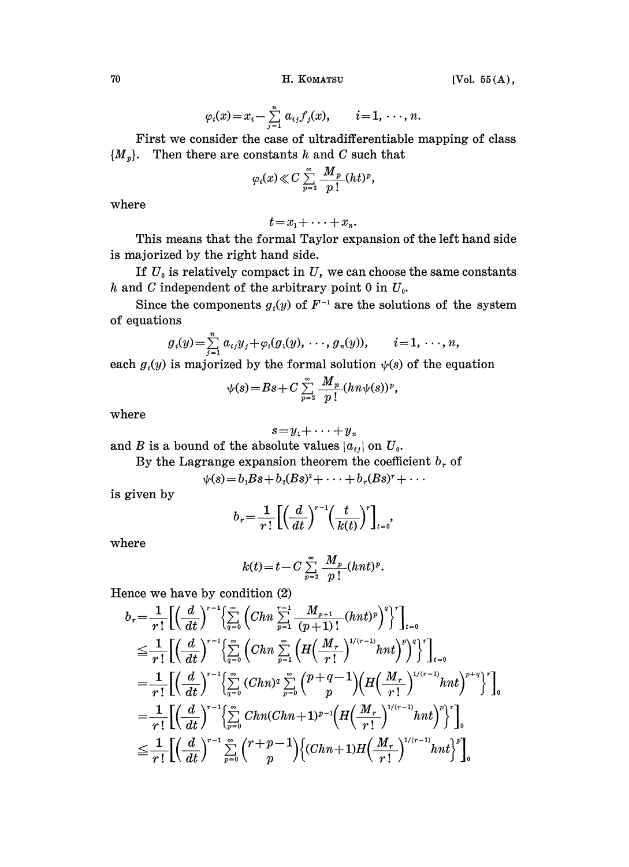70 H. KOMATSU

$$
[Vol. 55(A),
$$

$$
\varphi_i(x) = x_i - \sum_{j=1}^n a_{ij} f_j(x), \qquad i = 1, \ldots, n.
$$

First we consider the case of ultradifferentiable mapping of class  ${M<sub>p</sub>}.$  Then there are constants h and C such that

$$
\varphi_i(x)\ll C\sum_{p=2}^\infty\frac{M_p}{p\,!}(ht)^p,
$$

where

$$
t = x_1 + \cdots + x_n.
$$

This means that the formal Taylor expansion of the left hand side is majorized by the right hand side.

If  $U_0$  is relatively compact in  $U$ , we can choose the same constants h and C independent of the arbitrary point 0 in  $U_0$ .

Since the components  $g_i(y)$  of  $F^{-1}$  are the solutions of the system quations of equations

$$
g_i(y) = \sum_{j=1}^n a_{ij}y_j + \varphi_i(g_1(y),\ldots,g_n(y)), \qquad i=1,\ldots,n,
$$

each  $g_i(y)$  is majorized by the formal solution  $\psi(s)$  of the equation<br>  $\psi(s) = Bs + C \sum_{n=0}^{\infty} \frac{M_p}{n!} (hn\psi(s))^p$ ,

$$
\psi(s) = Bs + C \sum_{p=2}^{\infty} \frac{M_p}{p!} (h n \psi(s))^p,
$$

where

$$
s = y_1 + \cdots + y_n
$$

and B is a bound of the absolute values  $|a_{ij}|$  on  $U_0$ .

By the Lagrange expansion theorem the coefficient  $b<sub>r</sub>$  of

$$
\psi(s)=b_1Bs+b_2(Bs)^2+\cdots+b_r(Bs)^r+\cdots
$$

is given by

$$
=b1Bs+b2(Bs)2+\cdots+br(Bs)r+\cdots
$$

$$
br=\frac{1}{r!}\left[\left(\frac{d}{dt}\right)^{r-1}\left(\frac{t}{k(t)}\right)^{r}\right]_{t=0},
$$

where

$$
k(t) = t - C \sum_{p=2}^{\infty} \frac{M_p}{p!} (hnt)^p.
$$

Hence we have by condition (2)

$$
b_r = \frac{1}{r!} \Big[ \Big(\frac{d}{dt}\Big)^{r-1} \Big\{ \sum_{q=0}^{\infty} \Big( Chn \sum_{p=1}^{r-1} \frac{M_{p+1}}{(p+1)!} (hnt)^p \Big)^q \Big\}^r \Big]_{t=0}^r
$$
  
\n
$$
\leq \frac{1}{r!} \Big[ \Big(\frac{d}{dt}\Big)^{r-1} \Big\{ \sum_{q=0}^{\infty} \Big( Chn \sum_{p=1}^{\infty} \Big( H\Big(\frac{M_r}{r!}\Big)^{1/(r-1)} hnt \Big)^p \Big)^q \Big\}^r \Big]_{t=0}^r
$$
  
\n
$$
= \frac{1}{r!} \Big[ \Big(\frac{d}{dt}\Big)^{r-1} \Big\{ \sum_{q=0}^{\infty} (Chn)^q \sum_{p=0}^{\infty} \Big( \frac{p+q-1}{p} \Big) \Big( H\Big(\frac{M_r}{r!}\Big)^{1/(r-1)} hnt \Big)^{p+q} \Big\}^r \Big]_0^r
$$
  
\n
$$
= \frac{1}{r!} \Big[ \Big(\frac{d}{dt}\Big)^{r-1} \Big\{ \sum_{p=0}^{\infty} Chn(Chn+1)^{p-1} \Big( H\Big(\frac{M_r}{r!}\Big)^{1/(r-1)} hnt \Big)^p \Big\}^r \Big]_0^r
$$
  
\n
$$
\leq \frac{1}{r!} \Big[ \Big(\frac{d}{dt}\Big)^{r-1} \sum_{p=0}^{\infty} \Big( \frac{r+p-1}{p} \Big) \Big\{ (Chn+1) H\Big(\frac{M_r}{r!}\Big)^{1/(r-1)} hnt \Big\}^p \Big]_0^r
$$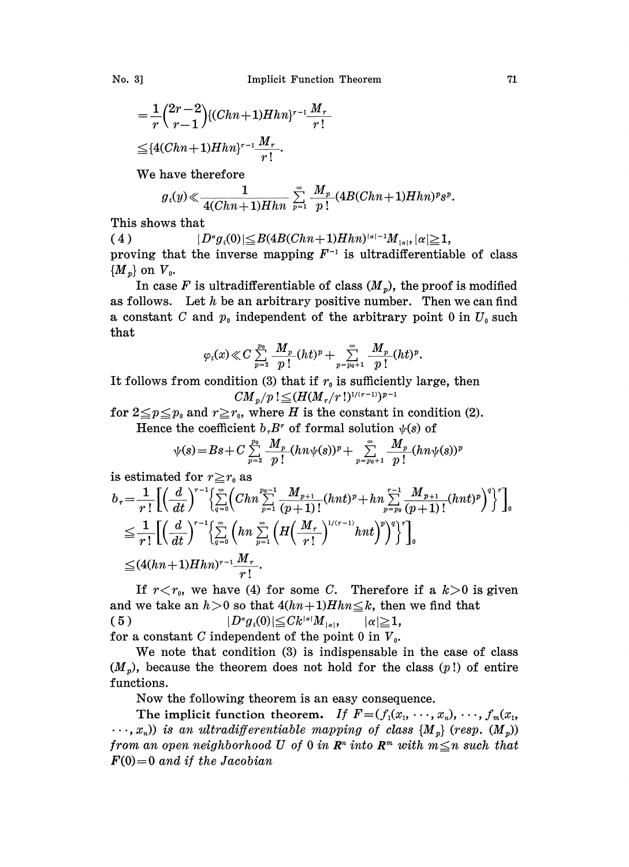$$
=\frac{1}{r}\binom{2r-2}{r-1}\{(Chn+1)Hhn\}^{r-1}\frac{M_r}{r!}
$$
  
\n
$$
\leq \{4(Chn+1)Hhn\}^{r-1}\frac{M_r}{r!}.
$$

We have therefore

$$
g_i(y) \ll \frac{1}{4(Chn+1)Hhn} \sum_{p=1}^{\infty} \frac{M_p}{p!} (4B(Chn+1)Hhn)^p s^p.
$$

This shows that

( 4 )  $|D^{\alpha}g_i(0)| \leq B(4B(Chn + 1)Hhn)^{|\alpha|-1}M_{|\alpha|}, |\alpha| \geq 1,$ proving that the inverse mapping  $F^{-1}$  is ultradifferentiable of class  $\{M_n\}$  on  $V_0$ .

In case F is ultradifferentiable of class  $(M_p)$ , the proof is modified as follows. Let  $h$  be an arbitrary positive number. Then we can find a constant C and  $p_0$  independent of the arbitrary point 0 in  $U_0$  such that

$$
\varphi_i(x)\!\ll\!C\sum_{p=2}^{p_0}\frac{M_{p}}{p\,!}(ht)^p\!+\!\sum_{p=p_0+1}^\infty\frac{M_{p}}{p\,!}(ht)^p.
$$

It follows from condition (3) that if  $r_0$  is sufficiently large, then  $CM_p/p$  !  $\leq (H(M_r/r!)^{1/(r-1)})^{p-1}$ 

for  $2 \leq p \leq p_0$  and  $r \geq r_0$ , where H is the constant in condition (2).

Hence the coefficient  $b<sub>r</sub>B<sup>r</sup>$  of formal solution  $\psi(s)$  of

$$
\psi(s) = Bs + C \sum_{p=2}^{p_0} \frac{M_p}{p!} (hn\psi(s))^p + \sum_{p=p_0+1}^{\infty} \frac{M_p}{p!} (hn\psi(s))^p
$$

is estimated for 
$$
r \ge r_0
$$
 as

$$
b_r = \frac{1}{r!} \Biggl[ \Biggl( \frac{d}{dt} \Biggr)^{r-1} \Biggl\{ \sum_{q=0}^{\infty} \Biggl( Chn \sum_{p=1}^{p_0-1} \frac{M_{p+1}}{(p+1)!} (hnt)^p + h n \sum_{p=p_0}^{r-1} \frac{M_{p+1}}{(p+1)!} (hnt)^p \Biggr)^q \Biggr\} \Biggr]_0^r
$$
  
\n
$$
\leq \frac{1}{r!} \Biggl[ \Biggl( \frac{d}{dt} \Biggr)^{r-1} \Biggl\{ \sum_{q=0}^{\infty} \Biggl( h n \sum_{p=1}^{\infty} \Biggl( H \Biggl( \frac{M_r}{r!} \Biggr)^{1/(r-1)} hnt \Biggr)^p \Biggr)^q \Biggr\}^r \Biggr]_0^r
$$
  
\n
$$
\leq (4(hn+1)Hhn)^{r-1} \frac{M_r}{r!}.
$$
  
\nIf  $r < r_0$ , we have (4) for some C. Therefore if a  $k > 0$  is given

and we take an  $h > 0$  so that  $4(hn+1)Hhn \leq k$ , then we find that ( 5 )  $|D^{\alpha}g_i(0)| \leq C k^{|{\alpha}|} M_{|{\alpha}|},$  $|\alpha| \geq 1$ , for a constant C independent of the point 0 in  $V_0$ .

We note that condition (3) is indispensable in the case of class

 $(M<sub>p</sub>)$ , because the theorem does not hold for the class  $(p!)$  of entire functions.

Now the following theorem is an easy consequence.

The implicit function theorem. If  $F = (f_1(x_1, \dots, x_n), \dots, f_m(x_1,$  $\ldots, x_n$ ) is an ultradifferentiable mapping of class {M<sub>n</sub>} (resp.  $(M_n)$ ) from an open neighborhood U of 0 in  $\mathbb{R}^n$  into  $\mathbb{R}^m$  with  $m \leq n$  such that  $F(0)=0$  and if the Jacobian